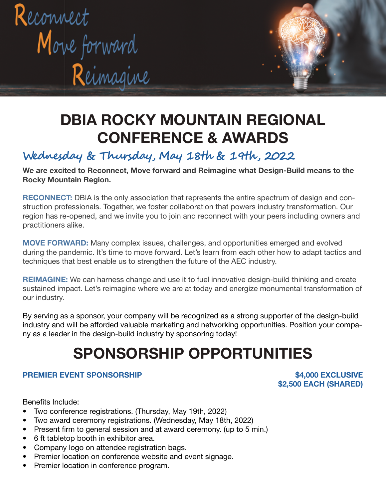

## DBIA ROCKY MOUNTAIN REGIONAL CONFERENCE & AWARDS

## **Wednesday & Thursday, May 18th & 19th , 2022**

We are excited to Reconnect, Move forward and Reimagine what Design-Build means to the Rocky Mountain Region.

RECONNECT: DBIA is the only association that represents the entire spectrum of design and construction professionals. Together, we foster collaboration that powers industry transformation. Our region has re-opened, and we invite you to join and reconnect with your peers including owners and practitioners alike.

MOVE FORWARD: Many complex issues, challenges, and opportunities emerged and evolved during the pandemic. It's time to move forward. Let's learn from each other how to adapt tactics and techniques that best enable us to strengthen the future of the AEC industry.

REIMAGINE: We can harness change and use it to fuel innovative design-build thinking and create sustained impact. Let's reimagine where we are at today and energize monumental transformation of our industry.

By serving as a sponsor, your company will be recognized as a strong supporter of the design-build industry and will be afforded valuable marketing and networking opportunities. Position your company as a leader in the design-build industry by sponsoring today!

# SPONSORSHIP OPPORTUNITIES

### PREMIER EVENT SPONSORSHIP **\$4,000 EXCLUSIVE**

\$2,500 EACH (SHARED)

Benefits Include:

- Two conference registrations. (Thursday, May 19th, 2022)
- Two award ceremony registrations. (Wednesday, May 18th, 2022)
- Present firm to general session and at award ceremony. (up to 5 min.)
- 6 ft tabletop booth in exhibitor area.
- Company logo on attendee registration bags.
- Premier location on conference website and event signage.
- Premier location in conference program.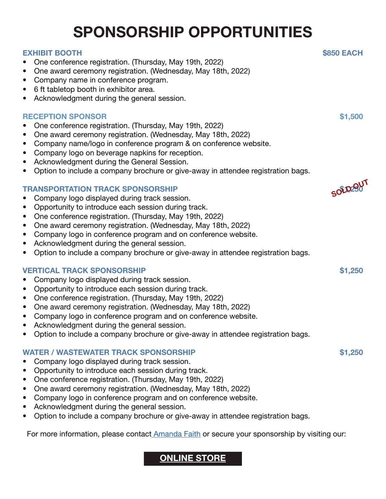# SPONSORSHIP OPPORTUNITIES

#### EXHIBIT BOOTH \$850 EACH

- One conference registration. (Thursday, May 19th, 2022)
- One award ceremony registration. (Wednesday, May 18th, 2022)
- Company name in conference program.
- 6 ft tabletop booth in exhibitor area.
- Acknowledgment during the general session.

#### RECEPTION SPONSOR **\$1,500**

- One conference registration. (Thursday, May 19th, 2022)
- One award ceremony registration. (Wednesday, May 18th, 2022)
- Company name/logo in conference program & on conference website.
- Company logo on beverage napkins for reception.
- Acknowledgment during the General Session.
- Option to include a company brochure or give-away in attendee registration bags.

### **TRANSPORTATION TRACK SPONSORSHIP**

- Company logo displayed during track session.
- Opportunity to introduce each session during track.
- One conference registration. (Thursday, May 19th, 2022)
- One award ceremony registration. (Wednesday, May 18th, 2022)
- Company logo in conference program and on conference website.
- Acknowledgment during the general session.
- Option to include a company brochure or give-away in attendee registration bags.

### VERTICAL TRACK SPONSORSHIP **\$1,250**

- Company logo displayed during track session.
- Opportunity to introduce each session during track.
- One conference registration. (Thursday, May 19th, 2022)
- One award ceremony registration. (Wednesday, May 18th, 2022)
- Company logo in conference program and on conference website.
- Acknowledgment during the general session.
- Option to include a company brochure or give-away in attendee registration bags.

#### WATER / WASTEWATER TRACK SPONSORSHIP  $$1.250$

- Company logo displayed during track session.
- Opportunity to introduce each session during track.
- One conference registration. (Thursday, May 19th, 2022)
- One award ceremony registration. (Wednesday, May 18th, 2022)
- Company logo in conference program and on conference website.
- Acknowledgment during the general session.
- Option to include a company brochure or give-away in attendee registration bags.

For more information, please contac[t Amanda Faith](mailto:amanda%40dbiarockymountain.org%09?subject=Regional%20Conference%20Sponsorship%20Inquiry) or secure your sponsorship by visiting our:

### [ONLINE STORE](https://www.viethconsulting.com/members/store.php?orgcode=DBIA&category_id=718215)

SOLD 29UT